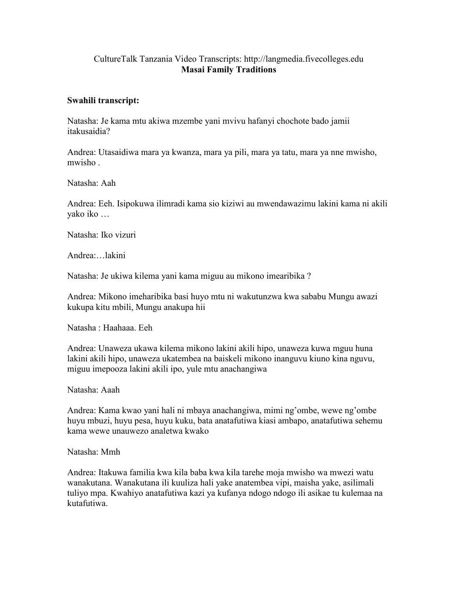## CultureTalk Tanzania Video Transcripts: http://langmedia.fivecolleges.edu Masai Family Traditions

## Swahili transcript:

Natasha: Je kama mtu akiwa mzembe yani mvivu hafanyi chochote bado jamii itakusaidia?

Andrea: Utasaidiwa mara ya kwanza, mara ya pili, mara ya tatu, mara ya nne mwisho, mwisho .

Natasha: Aah

Andrea: Eeh. Isipokuwa ilimradi kama sio kiziwi au mwendawazimu lakini kama ni akili yako iko …

Natasha: Iko vizuri

Andrea:…lakini

Natasha: Je ukiwa kilema yani kama miguu au mikono imearibika ?

Andrea: Mikono imeharibika basi huyo mtu ni wakutunzwa kwa sababu Mungu awazi kukupa kitu mbili, Mungu anakupa hii

Natasha : Haahaaa. Eeh

Andrea: Unaweza ukawa kilema mikono lakini akili hipo, unaweza kuwa mguu huna lakini akili hipo, unaweza ukatembea na baiskeli mikono inanguvu kiuno kina nguvu, miguu imepooza lakini akili ipo, yule mtu anachangiwa

Natasha: Aaah

Andrea: Kama kwao yani hali ni mbaya anachangiwa, mimi ng'ombe, wewe ng'ombe huyu mbuzi, huyu pesa, huyu kuku, bata anatafutiwa kiasi ambapo, anatafutiwa sehemu kama wewe unauwezo analetwa kwako

Natasha: Mmh

Andrea: Itakuwa familia kwa kila baba kwa kila tarehe moja mwisho wa mwezi watu wanakutana. Wanakutana ili kuuliza hali yake anatembea vipi, maisha yake, asilimali tuliyo mpa. Kwahiyo anatafutiwa kazi ya kufanya ndogo ndogo ili asikae tu kulemaa na kutafutiwa.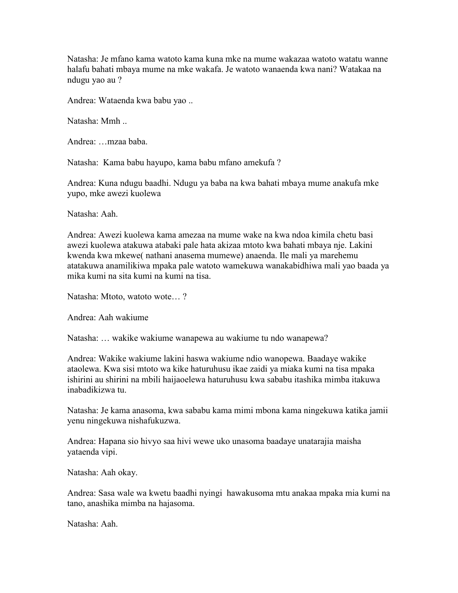Natasha: Je mfano kama watoto kama kuna mke na mume wakazaa watoto watatu wanne halafu bahati mbaya mume na mke wakafa. Je watoto wanaenda kwa nani? Watakaa na ndugu yao au ?

Andrea: Wataenda kwa babu yao ..

Natasha: Mmh ..

Andrea: …mzaa baba.

Natasha: Kama babu hayupo, kama babu mfano amekufa ?

Andrea: Kuna ndugu baadhi. Ndugu ya baba na kwa bahati mbaya mume anakufa mke yupo, mke awezi kuolewa

Natasha: Aah.

Andrea: Awezi kuolewa kama amezaa na mume wake na kwa ndoa kimila chetu basi awezi kuolewa atakuwa atabaki pale hata akizaa mtoto kwa bahati mbaya nje. Lakini kwenda kwa mkewe( nathani anasema mumewe) anaenda. Ile mali ya marehemu atatakuwa anamilikiwa mpaka pale watoto wamekuwa wanakabidhiwa mali yao baada ya mika kumi na sita kumi na kumi na tisa.

Natasha: Mtoto, watoto wote… ?

Andrea: Aah wakiume

Natasha: … wakike wakiume wanapewa au wakiume tu ndo wanapewa?

Andrea: Wakike wakiume lakini haswa wakiume ndio wanopewa. Baadaye wakike ataolewa. Kwa sisi mtoto wa kike haturuhusu ikae zaidi ya miaka kumi na tisa mpaka ishirini au shirini na mbili haijaoelewa haturuhusu kwa sababu itashika mimba itakuwa inabadikizwa tu.

Natasha: Je kama anasoma, kwa sababu kama mimi mbona kama ningekuwa katika jamii yenu ningekuwa nishafukuzwa.

Andrea: Hapana sio hivyo saa hivi wewe uko unasoma baadaye unatarajia maisha yataenda vipi.

Natasha: Aah okay.

Andrea: Sasa wale wa kwetu baadhi nyingi hawakusoma mtu anakaa mpaka mia kumi na tano, anashika mimba na hajasoma.

Natasha: Aah.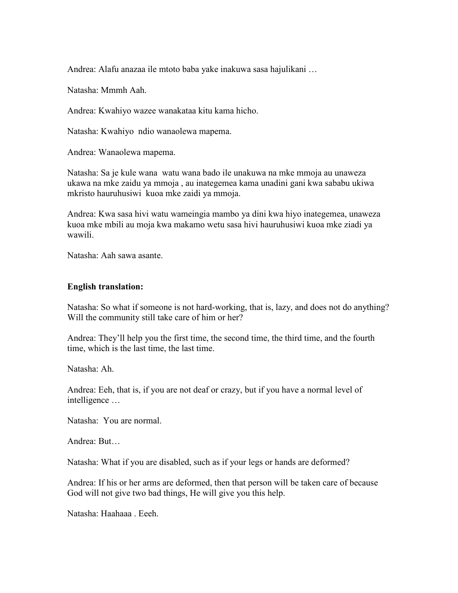Andrea: Alafu anazaa ile mtoto baba yake inakuwa sasa hajulikani …

Natasha: Mmmh Aah.

Andrea: Kwahiyo wazee wanakataa kitu kama hicho.

Natasha: Kwahiyo ndio wanaolewa mapema.

Andrea: Wanaolewa mapema.

Natasha: Sa je kule wana watu wana bado ile unakuwa na mke mmoja au unaweza ukawa na mke zaidu ya mmoja , au inategemea kama unadini gani kwa sababu ukiwa mkristo hauruhusiwi kuoa mke zaidi ya mmoja.

Andrea: Kwa sasa hivi watu wameingia mambo ya dini kwa hiyo inategemea, unaweza kuoa mke mbili au moja kwa makamo wetu sasa hivi hauruhusiwi kuoa mke ziadi ya wawili.

Natasha: Aah sawa asante.

## English translation:

Natasha: So what if someone is not hard-working, that is, lazy, and does not do anything? Will the community still take care of him or her?

Andrea: They'll help you the first time, the second time, the third time, and the fourth time, which is the last time, the last time.

Natasha: Ah.

Andrea: Eeh, that is, if you are not deaf or crazy, but if you have a normal level of intelligence …

Natasha: You are normal.

Andrea: But…

Natasha: What if you are disabled, such as if your legs or hands are deformed?

Andrea: If his or her arms are deformed, then that person will be taken care of because God will not give two bad things, He will give you this help.

Natasha: Haahaaa . Eeeh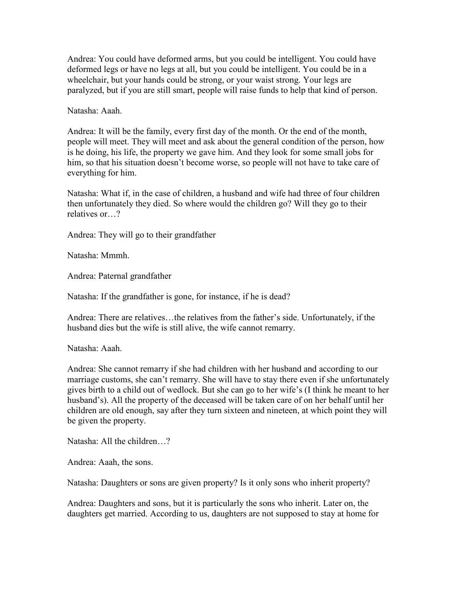Andrea: You could have deformed arms, but you could be intelligent. You could have deformed legs or have no legs at all, but you could be intelligent. You could be in a wheelchair, but your hands could be strong, or your waist strong. Your legs are paralyzed, but if you are still smart, people will raise funds to help that kind of person.

Natasha: Aaah.

Andrea: It will be the family, every first day of the month. Or the end of the month, people will meet. They will meet and ask about the general condition of the person, how is he doing, his life, the property we gave him. And they look for some small jobs for him, so that his situation doesn't become worse, so people will not have to take care of everything for him.

Natasha: What if, in the case of children, a husband and wife had three of four children then unfortunately they died. So where would the children go? Will they go to their relatives or…?

Andrea: They will go to their grandfather

Natasha: Mmmh.

Andrea: Paternal grandfather

Natasha: If the grandfather is gone, for instance, if he is dead?

Andrea: There are relatives…the relatives from the father's side. Unfortunately, if the husband dies but the wife is still alive, the wife cannot remarry.

Natasha: Aaah.

Andrea: She cannot remarry if she had children with her husband and according to our marriage customs, she can't remarry. She will have to stay there even if she unfortunately gives birth to a child out of wedlock. But she can go to her wife's (I think he meant to her husband's). All the property of the deceased will be taken care of on her behalf until her children are old enough, say after they turn sixteen and nineteen, at which point they will be given the property.

Natasha: All the children ?

Andrea: Aaah, the sons.

Natasha: Daughters or sons are given property? Is it only sons who inherit property?

Andrea: Daughters and sons, but it is particularly the sons who inherit. Later on, the daughters get married. According to us, daughters are not supposed to stay at home for